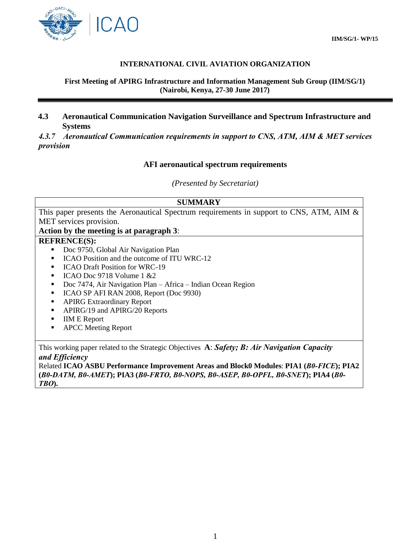

## **INTERNATIONAL CIVIL AVIATION ORGANIZATION**

#### **First Meeting of APIRG Infrastructure and Information Management Sub Group (IIM/SG/1) (Nairobi, Kenya, 27-30 June 2017)**

## **4.3 Aeronautical Communication Navigation Surveillance and Spectrum Infrastructure and Systems**

*4.3.7 Aeronautical Communication requirements in support to CNS, ATM, AIM & MET services provision* 

### **AFI aeronautical spectrum requirements**

*(Presented by Secretariat)* 

#### **SUMMARY**

This paper presents the Aeronautical Spectrum requirements in support to CNS, ATM, AIM & MET services provision.

#### **Action by the meeting is at paragraph 3**:

#### **REFRENCE(S):**

- Doc 9750, Global Air Navigation Plan
- ICAO Position and the outcome of ITU WRC-12
- **ICAO Draft Position for WRC-19**
- $ICAO Doc 9718 Volume 1 & 2$
- Doc 7474, Air Navigation Plan Africa Indian Ocean Region
- ICAO SP AFI RAN 2008, Report (Doc 9930)
- **APIRG Extraordinary Report**
- APIRG/19 and APIRG/20 Reports
- **IIM E Report**
- **APCC** Meeting Report

This working paper related to the Strategic Objectives **A**: *Safety; B: Air Navigation Capacity and Efficiency*

Related **ICAO ASBU Performance Improvement Areas and Block0 Modules**: **PIA1 (***B0-FICE***); PIA2 (***B0-DATM, B0-AMET***); PIA3 (***B0-FRTO, B0-NOPS, B0-ASEP, B0-OPFL, B0-SNET***); PIA4 (***B0- TBO***).**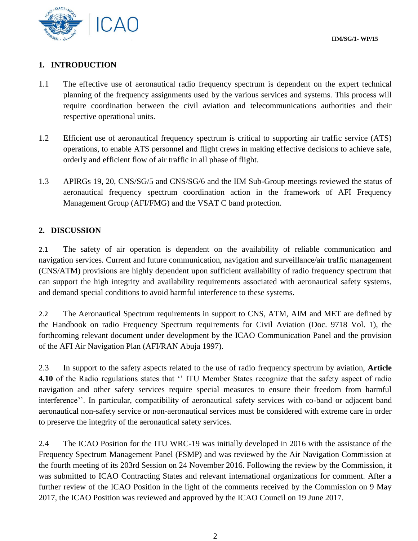

# **1. INTRODUCTION**

- 1.1 The effective use of aeronautical radio frequency spectrum is dependent on the expert technical planning of the frequency assignments used by the various services and systems. This process will require coordination between the civil aviation and telecommunications authorities and their respective operational units.
- 1.2 Efficient use of aeronautical frequency spectrum is critical to supporting air traffic service (ATS) operations, to enable ATS personnel and flight crews in making effective decisions to achieve safe, orderly and efficient flow of air traffic in all phase of flight.
- 1.3 APIRGs 19, 20, CNS/SG/5 and CNS/SG/6 and the IIM Sub-Group meetings reviewed the status of aeronautical frequency spectrum coordination action in the framework of AFI Frequency Management Group (AFI/FMG) and the VSAT C band protection.

# **2. DISCUSSION**

2.1 The safety of air operation is dependent on the availability of reliable communication and navigation services. Current and future communication, navigation and surveillance/air traffic management (CNS/ATM) provisions are highly dependent upon sufficient availability of radio frequency spectrum that can support the high integrity and availability requirements associated with aeronautical safety systems, and demand special conditions to avoid harmful interference to these systems.

2.2 The Aeronautical Spectrum requirements in support to CNS, ATM, AIM and MET are defined by the Handbook on radio Frequency Spectrum requirements for Civil Aviation (Doc. 9718 Vol. 1), the forthcoming relevant document under development by the ICAO Communication Panel and the provision of the AFI Air Navigation Plan (AFI/RAN Abuja 1997).

2.3 In support to the safety aspects related to the use of radio frequency spectrum by aviation, **Article 4.10** of the Radio regulations states that "ITU Member States recognize that the safety aspect of radio navigation and other safety services require special measures to ensure their freedom from harmful interference''. In particular, compatibility of aeronautical safety services with co-band or adjacent band aeronautical non-safety service or non-aeronautical services must be considered with extreme care in order to preserve the integrity of the aeronautical safety services.

2.4 The ICAO Position for the ITU WRC-19 was initially developed in 2016 with the assistance of the Frequency Spectrum Management Panel (FSMP) and was reviewed by the Air Navigation Commission at the fourth meeting of its 203rd Session on 24 November 2016. Following the review by the Commission, it was submitted to ICAO Contracting States and relevant international organizations for comment. After a further review of the ICAO Position in the light of the comments received by the Commission on 9 May 2017, the ICAO Position was reviewed and approved by the ICAO Council on 19 June 2017.